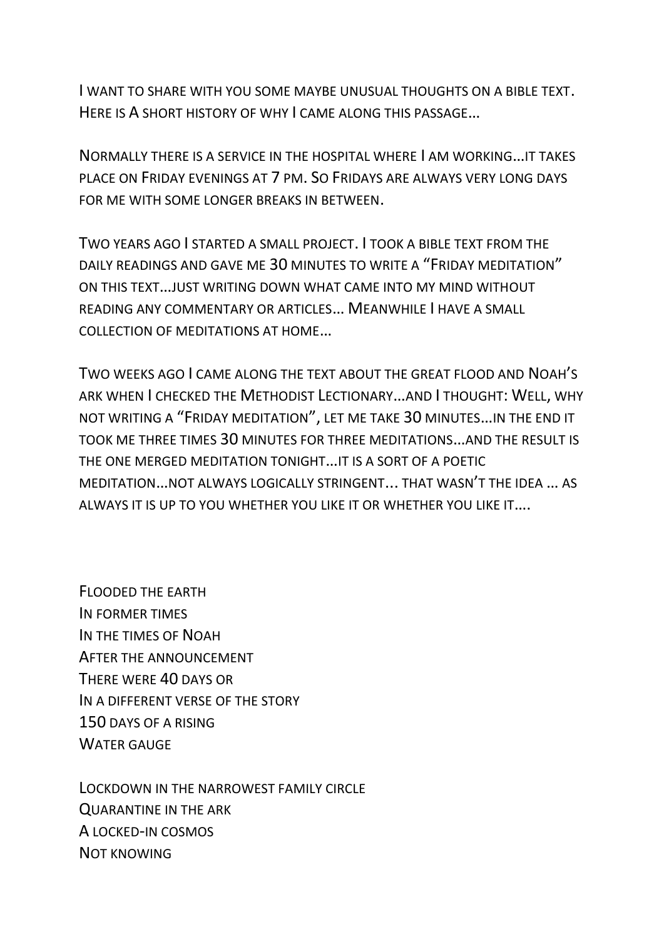I WANT TO SHARE WITH YOU SOME MAYBE UNUSUAL THOUGHTS ON A BIBLE TEXT. HERE IS A SHORT HISTORY OF WHY I CAME ALONG THIS PASSAGE…

NORMALLY THERE IS A SERVICE IN THE HOSPITAL WHERE I AM WORKING…IT TAKES PLACE ON FRIDAY EVENINGS AT 7 PM. SO FRIDAYS ARE ALWAYS VERY LONG DAYS FOR ME WITH SOME LONGER BREAKS IN BETWEEN.

TWO YEARS AGO I STARTED A SMALL PROJECT. I TOOK A BIBLE TEXT FROM THE DAILY READINGS AND GAVE ME 30 MINUTES TO WRITE A "FRIDAY MEDITATION" ON THIS TEXT…JUST WRITING DOWN WHAT CAME INTO MY MIND WITHOUT READING ANY COMMENTARY OR ARTICLES… MEANWHILE I HAVE A SMALL COLLECTION OF MEDITATIONS AT HOME…

TWO WEEKS AGO I CAME ALONG THE TEXT ABOUT THE GREAT FLOOD AND NOAH'S ARK WHEN I CHECKED THE METHODIST LECTIONARY…AND I THOUGHT: WELL, WHY NOT WRITING A "FRIDAY MEDITATION", LET ME TAKE 30 MINUTES…IN THE END IT TOOK ME THREE TIMES 30 MINUTES FOR THREE MEDITATIONS…AND THE RESULT IS THE ONE MERGED MEDITATION TONIGHT…IT IS A SORT OF A POETIC MEDITATION…NOT ALWAYS LOGICALLY STRINGENT... THAT WASN'T THE IDEA … AS ALWAYS IT IS UP TO YOU WHETHER YOU LIKE IT OR WHETHER YOU LIKE IT….

FLOODED THE EARTH IN FORMER TIMES IN THE TIMES OF NOAH AFTER THE ANNOUNCEMENT THERE WERE 40 DAYS OR IN A DIFFERENT VERSE OF THE STORY 150 DAYS OF A RISING WATER GAUGE

LOCKDOWN IN THE NARROWEST FAMILY CIRCLE QUARANTINE IN THE ARK A LOCKED-IN COSMOS NOT KNOWING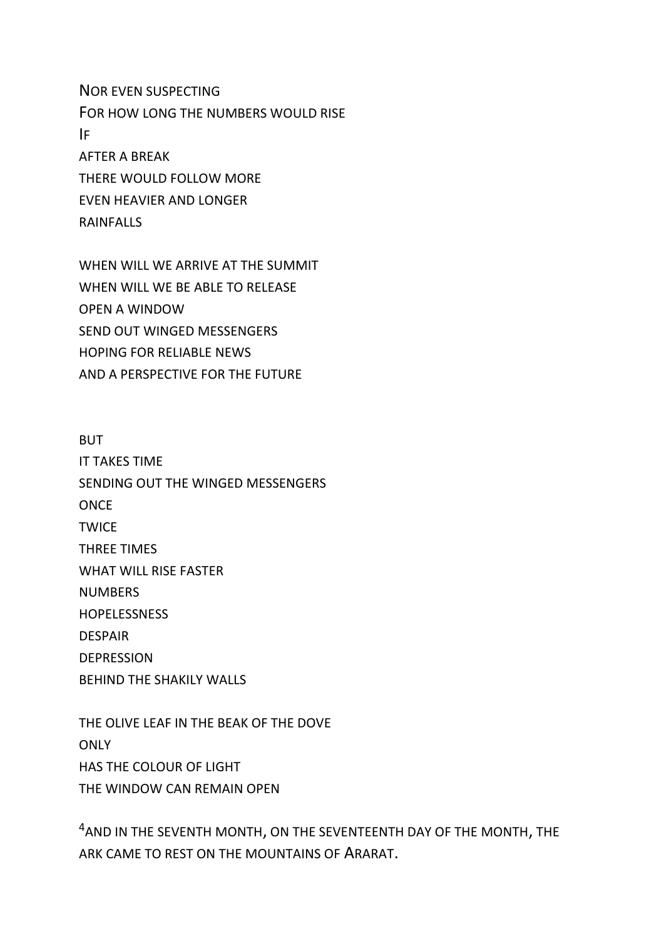NOR EVEN SUSPECTING FOR HOW LONG THE NUMBERS WOULD RISE IF AFTER A BREAK THERE WOULD FOLLOW MORE EVEN HEAVIER AND LONGER RAINFALLS

WHEN WILL WE ARRIVE AT THE SUMMIT WHEN WILL WE BE ABLE TO RELEASE OPEN A WINDOW SEND OUT WINGED MESSENGERS HOPING FOR RELIABLE NEWS AND A PERSPECTIVE FOR THE FUTURE

BUT IT TAKES TIME SENDING OUT THE WINGED MESSENGERS **ONCE** TWICE THREE TIMES WHAT WILL RISE FASTER NUMBERS HOPELESSNESS DESPAIR **DEPRESSION** BEHIND THE SHAKILY WALLS

THE OLIVE LEAF IN THE BEAK OF THE DOVE **ONLY** HAS THE COLOUR OF LIGHT THE WINDOW CAN REMAIN OPEN

<sup>4</sup> AND IN THE SEVENTH MONTH, ON THE SEVENTEENTH DAY OF THE MONTH, THE ARK CAME TO REST ON THE MOUNTAINS OF ARARAT.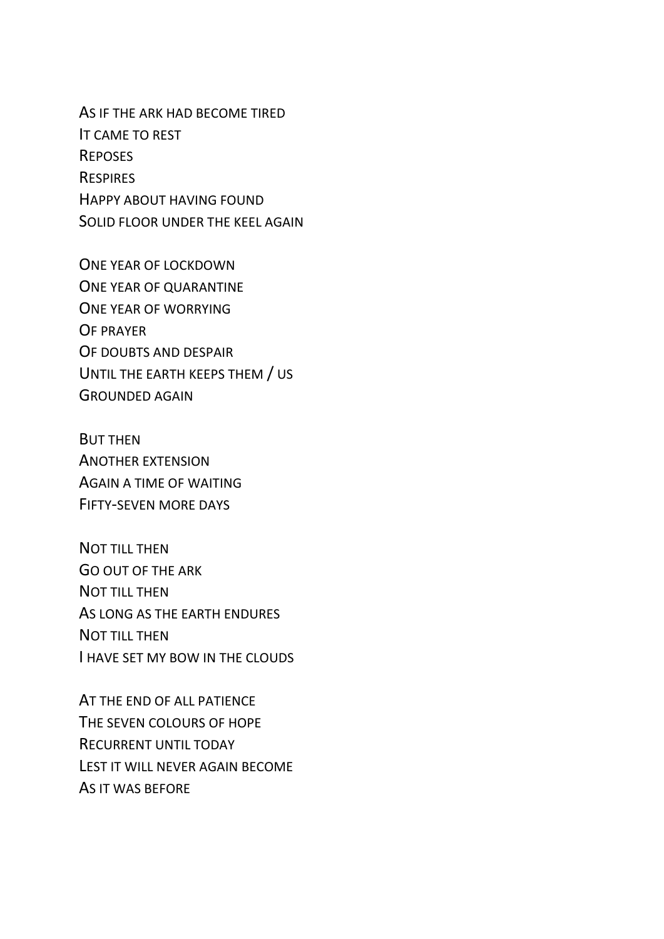AS IF THE ARK HAD BECOME TIRED IT CAME TO REST **REPOSES RESPIRES** HAPPY ABOUT HAVING FOUND SOLID FLOOR UNDER THE KEEL AGAIN

ONE YEAR OF LOCKDOWN ONE YEAR OF QUARANTINE ONE YEAR OF WORRYING OF PRAYER OF DOUBTS AND DESPAIR UNTIL THE EARTH KEEPS THEM / US GROUNDED AGAIN

BUT THEN ANOTHER EXTENSION AGAIN A TIME OF WAITING FIFTY-SEVEN MORE DAYS

NOT TILL THEN GO OUT OF THE ARK NOT TILL THEN AS LONG AS THE EARTH ENDURES NOT TILL THEN I HAVE SET MY BOW IN THE CLOUDS

AT THE END OF ALL PATIENCE THE SEVEN COLOURS OF HOPE RECURRENT UNTIL TODAY LEST IT WILL NEVER AGAIN BECOME AS IT WAS BEFORE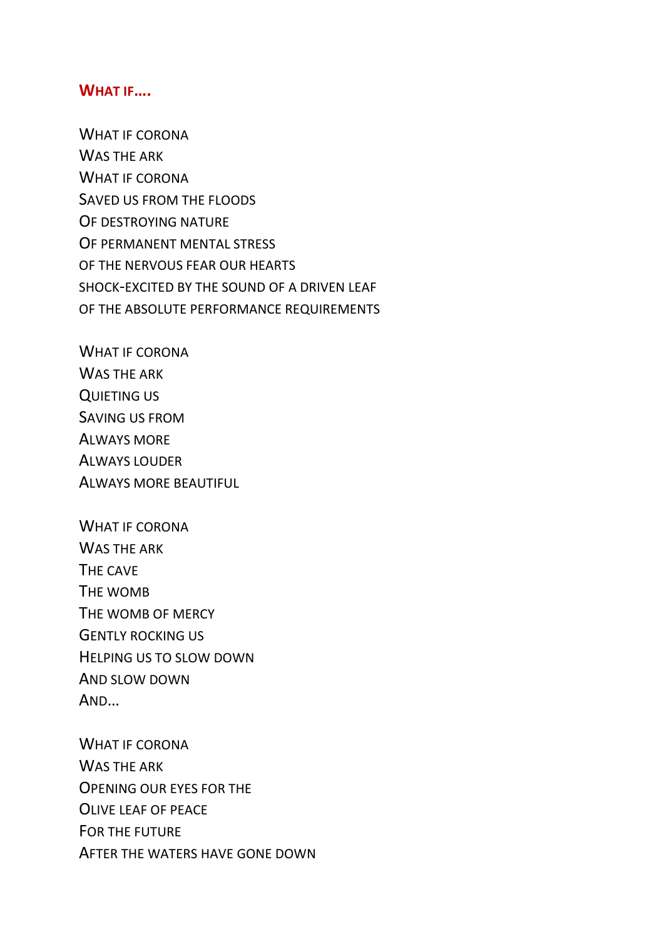# **WHAT IF….**

WHAT IF CORONA WAS THE ARK WHAT IF CORONA SAVED US FROM THE FLOODS OF DESTROYING NATURE OF PERMANENT MENTAL STRESS OF THE NERVOUS FEAR OUR HEARTS SHOCK-EXCITED BY THE SOUND OF A DRIVEN LEAF OF THE ABSOLUTE PERFORMANCE REQUIREMENTS

WHAT IF CORONA WAS THE ARK QUIETING US SAVING US FROM ALWAYS MORE ALWAYS LOUDER ALWAYS MORE BEAUTIFUL

WHAT IF CORONA WAS THE ARK THE CAVE THE WOMB THE WOMB OF MERCY GENTLY ROCKING US HELPING US TO SLOW DOWN AND SLOW DOWN AND…

WHAT IF CORONA WAS THE ARK OPENING OUR EYES FOR THE OLIVE LEAF OF PEACE FOR THE FUTURE AFTER THE WATERS HAVE GONE DOWN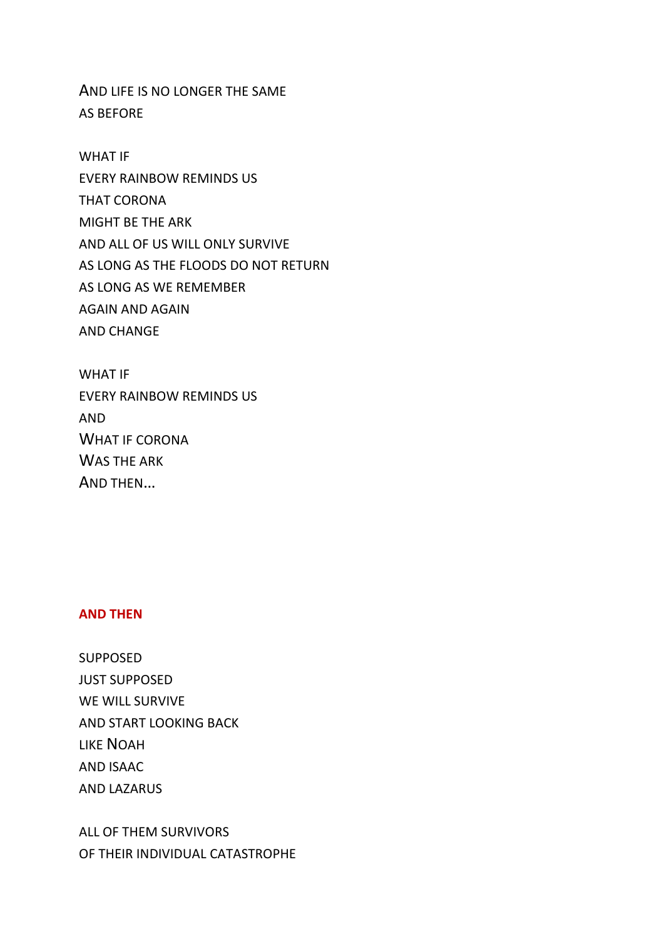AND LIFE IS NO LONGER THE SAME AS BEFORE

WHAT IF EVERY RAINBOW REMINDS US THAT CORONA MIGHT BE THE ARK AND ALL OF US WILL ONLY SURVIVE AS LONG AS THE FLOODS DO NOT RETURN AS LONG AS WE REMEMBER AGAIN AND AGAIN AND CHANGE

WHAT IF EVERY RAINBOW REMINDS US AND WHAT IF CORONA WAS THE ARK AND THEN…

#### **AND THEN**

SUPPOSED JUST SUPPOSED WE WILL SURVIVE AND START LOOKING BACK LIKE NOAH AND ISAAC AND LAZARUS

ALL OF THEM SURVIVORS OF THEIR INDIVIDUAL CATASTROPHE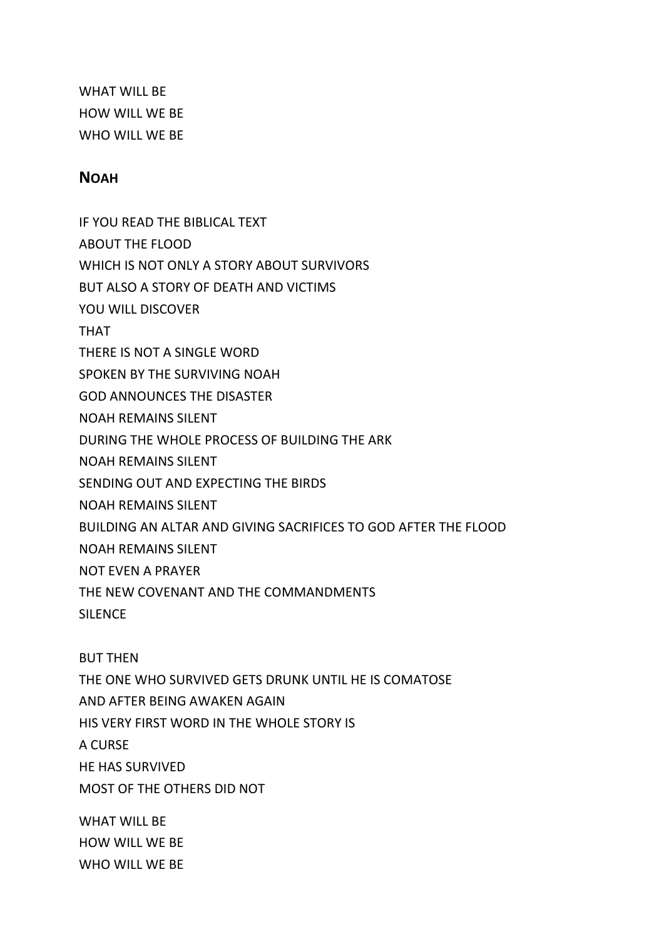WHAT WILL BE HOW WILL WE BE WHO WILL WE BE

## **NOAH**

IF YOU READ THE BIBLICAL TEXT ABOUT THE FLOOD WHICH IS NOT ONLY A STORY ABOUT SURVIVORS BUT ALSO A STORY OF DEATH AND VICTIMS YOU WILL DISCOVER THAT THERE IS NOT A SINGLE WORD SPOKEN BY THE SURVIVING NOAH GOD ANNOUNCES THE DISASTER NOAH REMAINS SILENT DURING THE WHOLE PROCESS OF BUILDING THE ARK NOAH REMAINS SILENT SENDING OUT AND EXPECTING THE BIRDS NOAH REMAINS SILENT BUILDING AN ALTAR AND GIVING SACRIFICES TO GOD AFTER THE FLOOD NOAH REMAINS SILENT NOT EVEN A PRAYER THE NEW COVENANT AND THE COMMANDMENTS SILENCE BUT THEN THE ONE WHO SURVIVED GETS DRUNK UNTIL HE IS COMATOSE

AND AFTER BEING AWAKEN AGAIN HIS VERY FIRST WORD IN THE WHOLE STORY IS A CURSE HE HAS SURVIVED MOST OF THE OTHERS DID NOT

WHAT WILL BE HOW WILL WE BE WHO WILL WE BE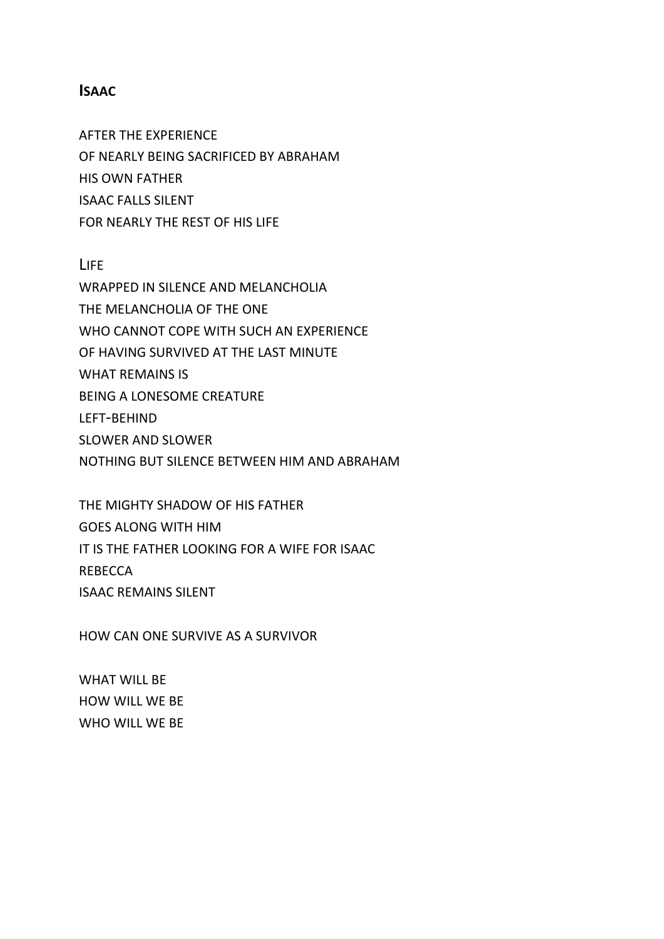#### **ISAAC**

AFTER THE EXPERIENCE OF NEARLY BEING SACRIFICED BY ABRAHAM HIS OWN FATHER ISAAC FALLS SILENT FOR NEARLY THE REST OF HIS LIFE

LIFE WRAPPED IN SILENCE AND MELANCHOLIA THE MELANCHOLIA OF THE ONE WHO CANNOT COPE WITH SUCH AN EXPERIENCE OF HAVING SURVIVED AT THE LAST MINUTE WHAT REMAINS IS BEING A LONESOME CREATURE LEFT-BEHIND SLOWER AND SLOWER NOTHING BUT SILENCE BETWEEN HIM AND ABRAHAM

THE MIGHTY SHADOW OF HIS FATHER GOES ALONG WITH HIM IT IS THE FATHER LOOKING FOR A WIFE FOR ISAAC REBECCA ISAAC REMAINS SILENT

HOW CAN ONE SURVIVE AS A SURVIVOR

WHAT WILL BE HOW WILL WE BE WHO WILL WE BE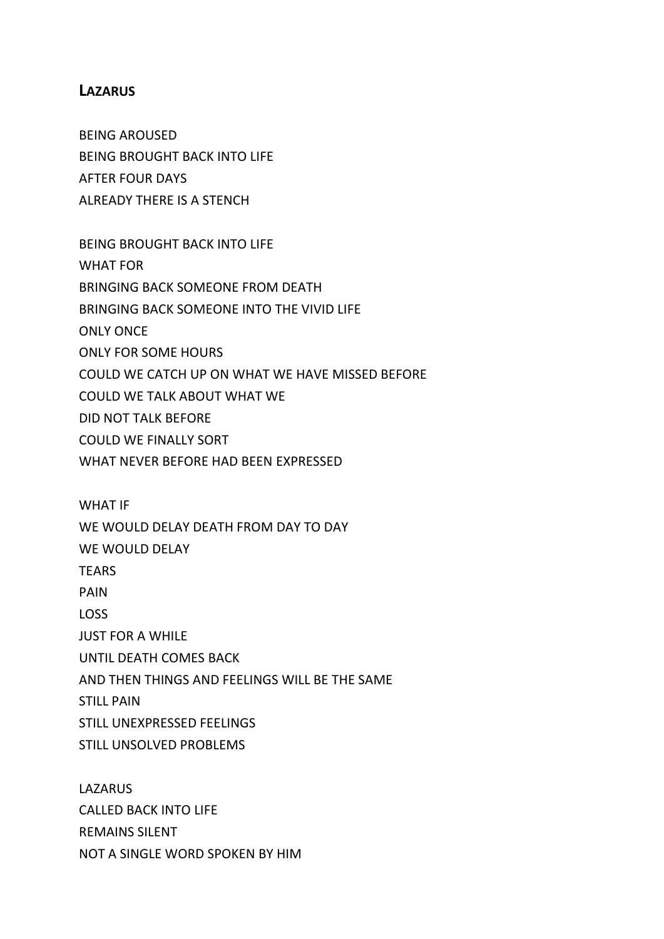## **LAZARUS**

BEING AROUSED BEING BROUGHT BACK INTO LIFE AFTER FOUR DAYS ALREADY THERE IS A STENCH

BEING BROUGHT BACK INTO LIFE WHAT FOR BRINGING BACK SOMEONE FROM DEATH BRINGING BACK SOMEONE INTO THE VIVID LIFE ONLY ONCE ONLY FOR SOME HOURS COULD WE CATCH UP ON WHAT WE HAVE MISSED BEFORE COULD WE TALK ABOUT WHAT WE DID NOT TALK BEFORE COULD WE FINALLY SORT WHAT NEVER BEFORE HAD BEEN EXPRESSED

WHAT IF WE WOULD DELAY DEATH FROM DAY TO DAY WE WOULD DELAY **TEARS** PAIN LOSS JUST FOR A WHILE UNTIL DEATH COMES BACK AND THEN THINGS AND FEELINGS WILL BE THE SAME STILL PAIN STILL UNEXPRESSED FEELINGS STILL UNSOLVED PROBLEMS

LAZARUS CALLED BACK INTO LIFE REMAINS SILENT NOT A SINGLE WORD SPOKEN BY HIM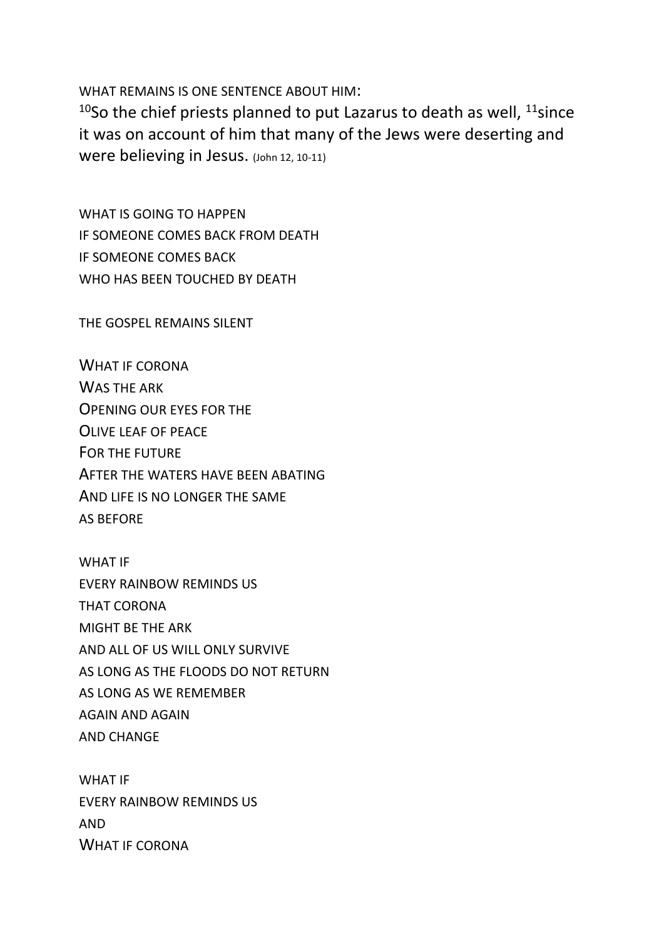WHAT REMAINS IS ONE SENTENCE ABOUT HIM:

 $10$ So the chief priests planned to put Lazarus to death as well,  $11$ since it was on account of him that many of the Jews were deserting and were believing in Jesus. (John 12, 10-11)

WHAT IS GOING TO HAPPEN IF SOMEONE COMES BACK FROM DEATH IF SOMEONE COMES BACK WHO HAS BEEN TOUCHED BY DEATH

THE GOSPEL REMAINS SILENT

WHAT IF CORONA WAS THE ARK OPENING OUR EYES FOR THE OLIVE LEAF OF PEACE FOR THE FUTURE AFTER THE WATERS HAVE BEEN ABATING AND LIFE IS NO LONGER THE SAME AS BEFORE

WHAT IF EVERY RAINBOW REMINDS US THAT CORONA MIGHT BE THE ARK AND ALL OF US WILL ONLY SURVIVE AS LONG AS THE FLOODS DO NOT RETURN AS LONG AS WE REMEMBER AGAIN AND AGAIN AND CHANGE

WHAT IF EVERY RAINBOW REMINDS US AND WHAT IF CORONA